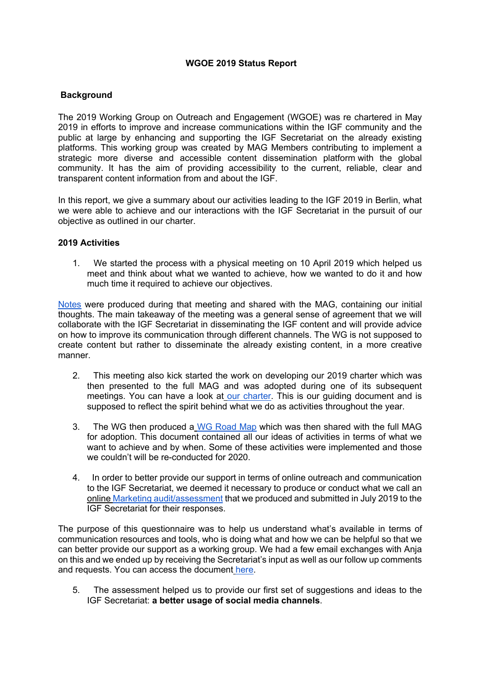## **WGOE 2019 Status Report**

# **Background**

The 2019 Working Group on Outreach and Engagement (WGOE) was re chartered in May 2019 in efforts to improve and increase communications within the IGF community and the public at large by enhancing and supporting the IGF Secretariat on the already existing platforms. This working group was created by MAG Members contributing to implement a strategic more diverse and accessible content dissemination platform with the global community. It has the aim of providing accessibility to the current, reliable, clear and transparent content information from and about the IGF.

In this report, we give a summary about our activities leading to the IGF 2019 in Berlin, what we were able to achieve and our interactions with the IGF Secretariat in the pursuit of our objective as outlined in our charter.

### **2019 Activities**

1. We started the process with a physical meeting on 10 April 2019 which helped us meet and think about what we wanted to achieve, how we wanted to do it and how much time it required to achieve our objectives.

Notes were produced during that meeting and shared with the MAG, containing our initial thoughts. The main takeaway of the meeting was a general sense of agreement that we will collaborate with the IGF Secretariat in disseminating the IGF content and will provide advice on how to improve its communication through different channels. The WG is not supposed to create content but rather to disseminate the already existing content, in a more creative manner.

- 2. This meeting also kick started the work on developing our 2019 charter which was then presented to the full MAG and was adopted during one of its subsequent meetings. You can have a look at our charter. This is our guiding document and is supposed to reflect the spirit behind what we do as activities throughout the year.
- 3. The WG then produced a WG Road Map which was then shared with the full MAG for adoption. This document contained all our ideas of activities in terms of what we want to achieve and by when. Some of these activities were implemented and those we couldn't will be re-conducted for 2020.
- 4. In order to better provide our support in terms of online outreach and communication to the IGF Secretariat, we deemed it necessary to produce or conduct what we call an online Marketing audit/assessment that we produced and submitted in July 2019 to the IGF Secretariat for their responses.

The purpose of this questionnaire was to help us understand what's available in terms of communication resources and tools, who is doing what and how we can be helpful so that we can better provide our support as a working group. We had a few email exchanges with Anja on this and we ended up by receiving the Secretariat's input as well as our follow up comments and requests. You can access the document here.

5. The assessment helped us to provide our first set of suggestions and ideas to the IGF Secretariat: **a better usage of social media channels**.